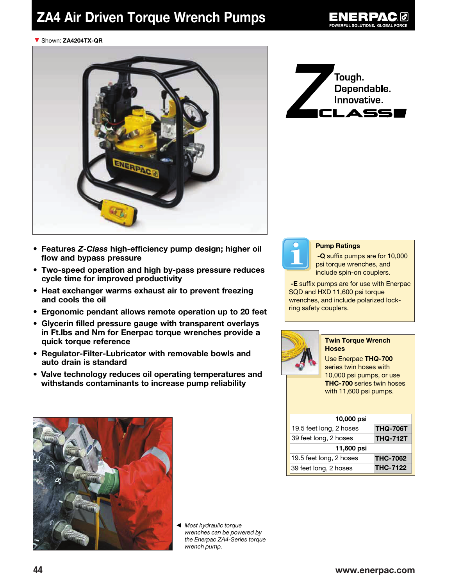# ZA4 Air Driven Torque Wrench Pumps



#### ▼ Shown: ZA4204TX-QR



- Features Z-Class high-efficiency pump design; higher oil flow and bypass pressure
- Two-speed operation and high by-pass pressure reduces cycle time for improved productivity
- Heat exchanger warms exhaust air to prevent freezing and cools the oil
- Ergonomic pendant allows remote operation up to 20 feet
- Glycerin filled pressure gauge with transparent overlays in Ft.lbs and Nm for Enerpac torque wrenches provide a quick torque reference
- Regulator-Filter-Lubricator with removable bowls and auto drain is standard
- Valve technology reduces oil operating temperatures and withstands contaminants to increase pump reliability





#### Pump Ratings

 -Q suffix pumps are for 10,000 psi torque wrenches, and include spin-on couplers.

-E suffix pumps are for use with Enerpac SQD and HXD 11,600 psi torque wrenches, and include polarized lockring safety couplers.



#### Twin Torque Wrench **Hoses**

Use Enerpac THQ-700 series twin hoses with 10,000 psi pumps, or use THC-700 series twin hoses with 11,600 psi pumps.

| 10,000 psi              |                 |  |  |  |
|-------------------------|-----------------|--|--|--|
| 19.5 feet long, 2 hoses | <b>THQ-706T</b> |  |  |  |
| 39 feet long, 2 hoses   | <b>THQ-712T</b> |  |  |  |
| 11,600 psi              |                 |  |  |  |
| 19.5 feet long, 2 hoses | <b>THC-7062</b> |  |  |  |
| 39 feet long, 2 hoses   | <b>THC-7122</b> |  |  |  |



◀ Most hydraulic torque wrenches can be powered by the Enerpac ZA4-Series torque wrench pump.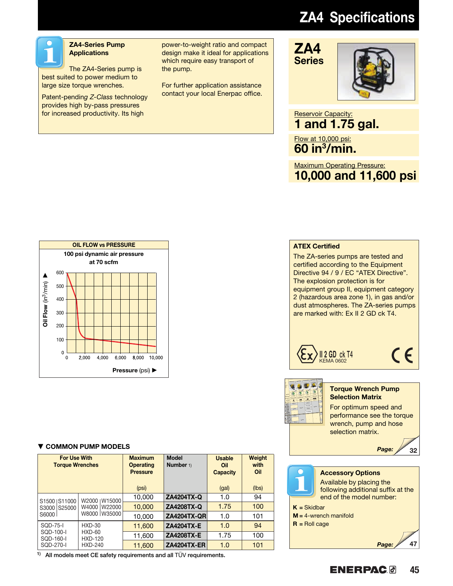# ZA4 Specifications



### ZA4-Series Pump **Applications**

The ZA4-Series pump is best suited to power medium to large size torque wrenches.

Patent-pending Z-Class technology provides high by-pass pressures for increased productivity. Its high

power-to-weight ratio and compact design make it ideal for applications which require easy transport of the pump.

For further application assistance contact your local Enerpac office.

# ZA4 Series

### Reservoir Capacity: 1 and 1.75 gal.

Flow at 10,000 psi: 60 in3 /min.

Maximum Operating Pressure: 10,000 and 11,600 psi



### ▼ COMMON PUMP MODELS Page:

| <b>For Use With</b><br><b>Torque Wrenches</b>           |                          | <b>Maximum</b><br><b>Operating</b><br><b>Pressure</b><br>(psi) | <b>Model</b><br>Number 1) | <b>Usable</b><br>Oil<br><b>Capacity</b><br>(gal) | Weight<br>with<br>Oil<br>(lbs) |
|---------------------------------------------------------|--------------------------|----------------------------------------------------------------|---------------------------|--------------------------------------------------|--------------------------------|
| S11000<br>S <sub>1500</sub><br>S25000<br>S3000<br>S6000 | W2000   W15000           | 10,000                                                         | <b>ZA4204TX-Q</b>         | 1.0                                              | 94                             |
|                                                         | W4000 W22000             | 10,000                                                         | ZA4208TX-Q                | 1.75                                             | 100                            |
|                                                         | W8000 W35000             | 10,000                                                         | <b>ZA4204TX-QR</b>        | 1.0                                              | 101                            |
| $SOD-75-I$                                              | $HXD-30$                 | 11,600                                                         | <b>ZA4204TX-E</b>         | 1.0                                              | 94                             |
| SOD-100-I<br>SQD-160-I                                  | HXD-60<br><b>HXD-120</b> | 11,600                                                         | <b>ZA4208TX-E</b>         | 1.75                                             | 100                            |
| SOD-270-I                                               | <b>HXD-240</b>           | 11.600                                                         | <b>ZA4204TX-ER</b>        | 1.0                                              | 101                            |

<sup>1)</sup> All models meet CE safety requirements and all TÜV requirements.

### ATEX Certified

The ZA-series pumps are tested and certified according to the Equipment Directive 94 / 9 / EC "ATEX Directive". The explosion protection is for equipment group II, equipment category 2 (hazardous area zone 1), in gas and/or dust atmospheres. The ZA-series pumps are marked with: Ex II 2 GD ck T4.



CE



#### **Torque Wrench Pump** Selection Matrix

For optimum speed and performance see the torque wrench, pump and hose selection matrix.



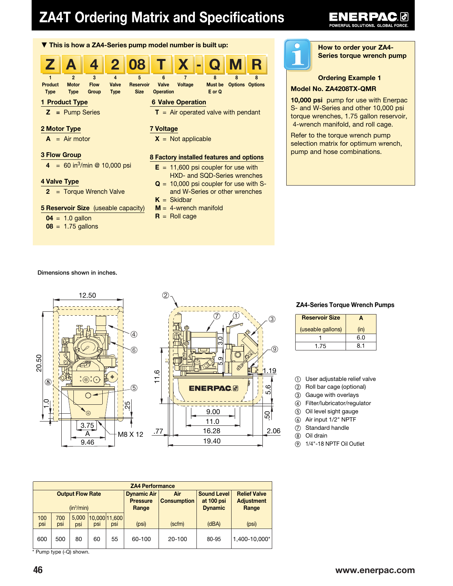# ZA4T Ordering Matrix and Specifications



#### ER 24 6  $\bullet$

How to order your ZA4- Series torque wrench pump

#### Ordering Example 1

#### Model No. ZA4208TX-QMR

10,000 psi pump for use with Enerpac S- and W-Series and other 10,000 psi torque wrenches, 1.75 gallon reservoir, 4-wrench manifold, and roll cage.

Refer to the torque wrench pump selection matrix for optimum wrench, pump and hose combinations.

> A (in)

6.0 8.1

ZA4-Series Torque Wrench Pumps

 User adjustable relief valve Roll bar cage (optional) Gauge with overlays Filter/lubricator/regulator Oil level sight gauge Air input 1/2" NPTF Standard handle Oil drain

⑨ 1/4"-18 NPTF Oil Outlet

Reservoir Size (useable gallons)

> 1 1.75

#### Dimensions shown in inches.



| <b>ZA4 Performance</b>  |            |              |                                       |                             |                                  |                                          |       |               |
|-------------------------|------------|--------------|---------------------------------------|-----------------------------|----------------------------------|------------------------------------------|-------|---------------|
| <b>Output Flow Rate</b> |            |              | <b>Dynamic Air</b><br><b>Pressure</b> | Air<br><b>Consumption</b>   | <b>Sound Level</b><br>at 100 psi | <b>Relief Valve</b><br><b>Adjustment</b> |       |               |
| (in <sup>3</sup> /min)  |            |              | Range                                 |                             | <b>Dynamic</b>                   | Range                                    |       |               |
| 100<br>psi              | 700<br>psi | 5,000<br>psi | <b>DSI</b>                            | 10.000 11.600<br><b>DSI</b> | (psi)                            | (scfm)                                   | (dBA) | (psi)         |
| 600                     | 500        | 80           | 60                                    | 55                          | 60-100                           | $20 - 100$                               | 80-95 | 1,400-10,000* |

\* Pump type (-Q) shown.